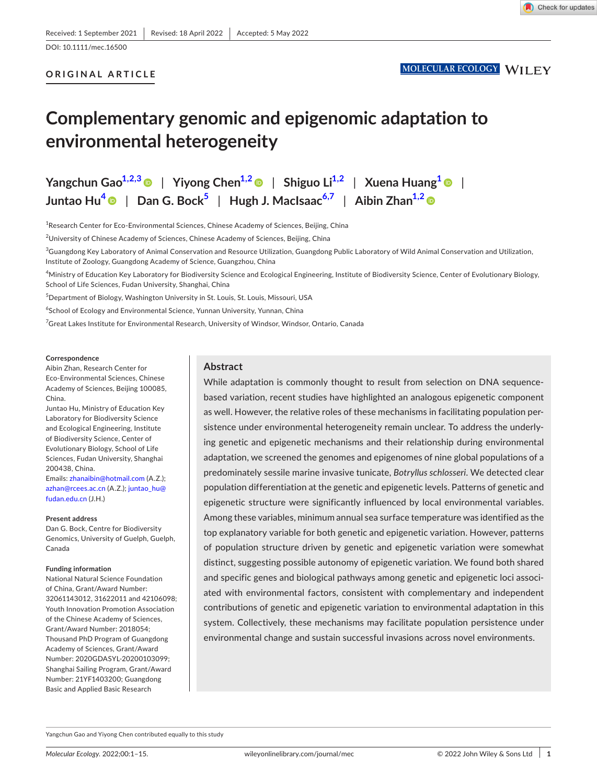DOI: 10.1111/mec.16500

# **ORIGINAL ARTICLE**

# **Complementary genomic and epigenomic adaptation to environmental heterogeneity**

**Yangchun**  $\text{Gao}^{1,2,3}$  $\text{Gao}^{1,2,3}$  $\text{Gao}^{1,2,3}$  | Yiyong  $\text{Chen}^{1,2}$  | Shiguo  $\text{Li}^{1,2}$  | Xuena  $\text{Huang}^1$  | | **Juntao Hu[4](#page-0-1)** | **Dan G. Boc[k5](#page-0-2)** | **Hugh J. MacIsaac[6,7](#page-0-3)** | **Aibin Zha[n1,2](#page-0-0)**

<span id="page-0-0"></span><sup>1</sup>Research Center for Eco-Environmental Sciences, Chinese Academy of Sciences, Beijing, China

<sup>2</sup>University of Chinese Academy of Sciences, Chinese Academy of Sciences, Beijing, China

 $^3$ Guangdong Key Laboratory of Animal Conservation and Resource Utilization, Guangdong Public Laboratory of Wild Animal Conservation and Utilization, Institute of Zoology, Guangdong Academy of Science, Guangzhou, China

<span id="page-0-1"></span>4 Ministry of Education Key Laboratory for Biodiversity Science and Ecological Engineering, Institute of Biodiversity Science, Center of Evolutionary Biology, School of Life Sciences, Fudan University, Shanghai, China

<span id="page-0-2"></span>5 Department of Biology, Washington University in St. Louis, St. Louis, Missouri, USA

<span id="page-0-3"></span> $^6$ School of Ecology and Environmental Science, Yunnan University, Yunnan, China

 $^7$ Great Lakes Institute for Environmental Research, University of Windsor, Windsor, Ontario, Canada

#### **Correspondence**

Aibin Zhan, Research Center for Eco-Environmental Sciences, Chinese Academy of Sciences, Beijing 100085, China.

Juntao Hu, Ministry of Education Key Laboratory for Biodiversity Science and Ecological Engineering, Institute of Biodiversity Science, Center of Evolutionary Biology, School of Life Sciences, Fudan University, Shanghai 200438, China.

Emails: [zhanaibin@hotmail.com](mailto:zhanaibin@hotmail.com) (A.Z.); [azhan@rcees.ac.cn](mailto:azhan@rcees.ac.cn) (A.Z.); [juntao\\_hu@](mailto:juntao_hu@fudan.edu.cn) [fudan.edu.cn](mailto:juntao_hu@fudan.edu.cn) (J.H.)

#### **Present address**

Dan G. Bock, Centre for Biodiversity Genomics, University of Guelph, Guelph, Canada

#### **Funding information**

National Natural Science Foundation of China, Grant/Award Number: 32061143012, 31622011 and 42106098; Youth Innovation Promotion Association of the Chinese Academy of Sciences, Grant/Award Number: 2018054; Thousand PhD Program of Guangdong Academy of Sciences, Grant/Award Number: 2020GDASYL-20200103099; Shanghai Sailing Program, Grant/Award Number: 21YF1403200; Guangdong Basic and Applied Basic Research

## **Abstract**

While adaptation is commonly thought to result from selection on DNA sequencebased variation, recent studies have highlighted an analogous epigenetic component as well. However, the relative roles of these mechanisms in facilitating population persistence under environmental heterogeneity remain unclear. To address the underlying genetic and epigenetic mechanisms and their relationship during environmental adaptation, we screened the genomes and epigenomes of nine global populations of a predominately sessile marine invasive tunicate, *Botryllus schlosseri*. We detected clear population differentiation at the genetic and epigenetic levels. Patterns of genetic and epigenetic structure were significantly influenced by local environmental variables. Among these variables, minimum annual sea surface temperature was identified as the top explanatory variable for both genetic and epigenetic variation. However, patterns of population structure driven by genetic and epigenetic variation were somewhat distinct, suggesting possible autonomy of epigenetic variation. We found both shared and specific genes and biological pathways among genetic and epigenetic loci associated with environmental factors, consistent with complementary and independent contributions of genetic and epigenetic variation to environmental adaptation in this system. Collectively, these mechanisms may facilitate population persistence under environmental change and sustain successful invasions across novel environments.

Yangchun Gao and Yiyong Chen contributed equally to this study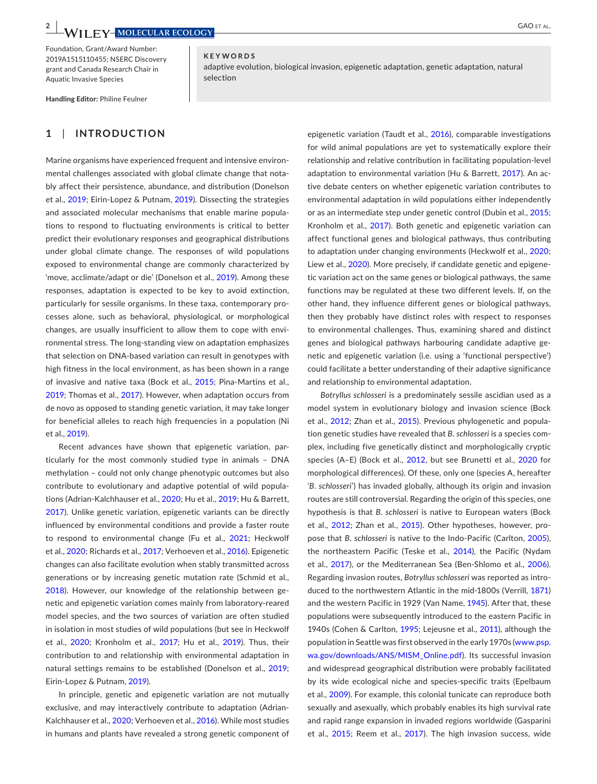**KEYWORDS**

Foundation, Grant/Award Number: 2019A1515110455; NSERC Discovery grant and Canada Research Chair in Aquatic Invasive Species

**Handling Editor:** Philine Feulner

# **1**  | **INTRODUCTION**

Marine organisms have experienced frequent and intensive environmental challenges associated with global climate change that notably affect their persistence, abundance, and distribution (Donelson et al., [2019](#page-12-0); Eirin-Lopez & Putnam, [2019\)](#page-12-1). Dissecting the strategies and associated molecular mechanisms that enable marine populations to respond to fluctuating environments is critical to better predict their evolutionary responses and geographical distributions under global climate change. The responses of wild populations exposed to environmental change are commonly characterized by 'move, acclimate/adapt or die' (Donelson et al., [2019](#page-12-0)). Among these responses, adaptation is expected to be key to avoid extinction, particularly for sessile organisms. In these taxa, contemporary processes alone, such as behavioral, physiological, or morphological changes, are usually insufficient to allow them to cope with environmental stress. The long-standing view on adaptation emphasizes that selection on DNA-based variation can result in genotypes with high fitness in the local environment, as has been shown in a range of invasive and native taxa (Bock et al., [2015](#page-12-2); Pina-Martins et al., [2019](#page-13-0); Thomas et al., [2017](#page-14-0)). However, when adaptation occurs from de novo as opposed to standing genetic variation, it may take longer for beneficial alleles to reach high frequencies in a population (Ni et al., [2019](#page-13-1)).

Recent advances have shown that epigenetic variation, particularly for the most commonly studied type in animals – DNA methylation – could not only change phenotypic outcomes but also contribute to evolutionary and adaptive potential of wild populations (Adrian-Kalchhauser et al., [2020](#page-12-3); Hu et al., [2019](#page-13-2); Hu & Barrett, [2017](#page-13-3)). Unlike genetic variation, epigenetic variants can be directly influenced by environmental conditions and provide a faster route to respond to environmental change (Fu et al., [2021](#page-12-4); Heckwolf et al., [2020](#page-13-4); Richards et al., [2017](#page-13-5); Verhoeven et al., [2016](#page-14-1)). Epigenetic changes can also facilitate evolution when stably transmitted across generations or by increasing genetic mutation rate (Schmid et al., [2018](#page-13-6)). However, our knowledge of the relationship between genetic and epigenetic variation comes mainly from laboratory-reared model species, and the two sources of variation are often studied in isolation in most studies of wild populations (but see in Heckwolf et al., [2020](#page-13-4); Kronholm et al., [2017](#page-13-7); Hu et al., [2019\)](#page-13-2). Thus, their contribution to and relationship with environmental adaptation in natural settings remains to be established (Donelson et al., [2019](#page-12-0); Eirin-Lopez & Putnam, [2019](#page-12-1)).

In principle, genetic and epigenetic variation are not mutually exclusive, and may interactively contribute to adaptation (Adrian-Kalchhauser et al., [2020](#page-12-3); Verhoeven et al., [2016](#page-14-1)). While most studies in humans and plants have revealed a strong genetic component of

adaptive evolution, biological invasion, epigenetic adaptation, genetic adaptation, natural selection

> epigenetic variation (Taudt et al., [2016](#page-13-8)), comparable investigations for wild animal populations are yet to systematically explore their relationship and relative contribution in facilitating population-level adaptation to environmental variation (Hu & Barrett, [2017](#page-13-3)). An active debate centers on whether epigenetic variation contributes to environmental adaptation in wild populations either independently or as an intermediate step under genetic control (Dubin et al., [2015;](#page-12-5) Kronholm et al., [2017](#page-13-7)). Both genetic and epigenetic variation can affect functional genes and biological pathways, thus contributing to adaptation under changing environments (Heckwolf et al., [2020;](#page-13-4) Liew et al., [2020](#page-13-9)). More precisely, if candidate genetic and epigenetic variation act on the same genes or biological pathways, the same functions may be regulated at these two different levels. If, on the other hand, they influence different genes or biological pathways, then they probably have distinct roles with respect to responses to environmental challenges. Thus, examining shared and distinct genes and biological pathways harbouring candidate adaptive genetic and epigenetic variation (i.e. using a 'functional perspective') could facilitate a better understanding of their adaptive significance and relationship to environmental adaptation.

> *Botryllus schlosseri* is a predominately sessile ascidian used as a model system in evolutionary biology and invasion science (Bock et al., [2012](#page-12-6); Zhan et al., [2015](#page-14-2)). Previous phylogenetic and population genetic studies have revealed that *B*. *schlosseri* is a species complex, including five genetically distinct and morphologically cryptic species (A–E) (Bock et al., [2012](#page-12-6), but see Brunetti et al., [2020](#page-12-7) for morphological differences). Of these, only one (species A, hereafter '*B*. *schlosseri*') has invaded globally, although its origin and invasion routes are still controversial. Regarding the origin of this species, one hypothesis is that *B*. *schlosseri* is native to European waters (Bock et al., [2012](#page-12-6); Zhan et al., [2015](#page-14-2)). Other hypotheses, however, propose that *B*. *schlosseri* is native to the Indo-Pacific (Carlton, [2005](#page-12-8)), the northeastern Pacific (Teske et al., [2014](#page-13-10)), the Pacific (Nydam et al., [2017](#page-13-11)), or the Mediterranean Sea (Ben-Shlomo et al., [2006](#page-12-9)). Regarding invasion routes, *Botryllus schlosseri* was reported as introduced to the northwestern Atlantic in the mid-1800s (Verrill, [1871\)](#page-14-3) and the western Pacific in 1929 (Van Name, [1945](#page-14-4)). After that, these populations were subsequently introduced to the eastern Pacific in 1940s (Cohen & Carlton, [1995;](#page-12-10) Lejeusne et al., [2011](#page-13-12)), although the population in Seattle was first observed in the early 1970s ([www.psp.](http://www.psp.wa.gov/downloads/ANS/MISM_Online.pdf) [wa.gov/downloads/ANS/MISM\\_Online.pdf](http://www.psp.wa.gov/downloads/ANS/MISM_Online.pdf)). Its successful invasion and widespread geographical distribution were probably facilitated by its wide ecological niche and species-specific traits (Epelbaum et al., [2009](#page-12-11)). For example, this colonial tunicate can reproduce both sexually and asexually, which probably enables its high survival rate and rapid range expansion in invaded regions worldwide (Gasparini et al., [2015](#page-12-12); Reem et al., [2017](#page-13-13)). The high invasion success, wide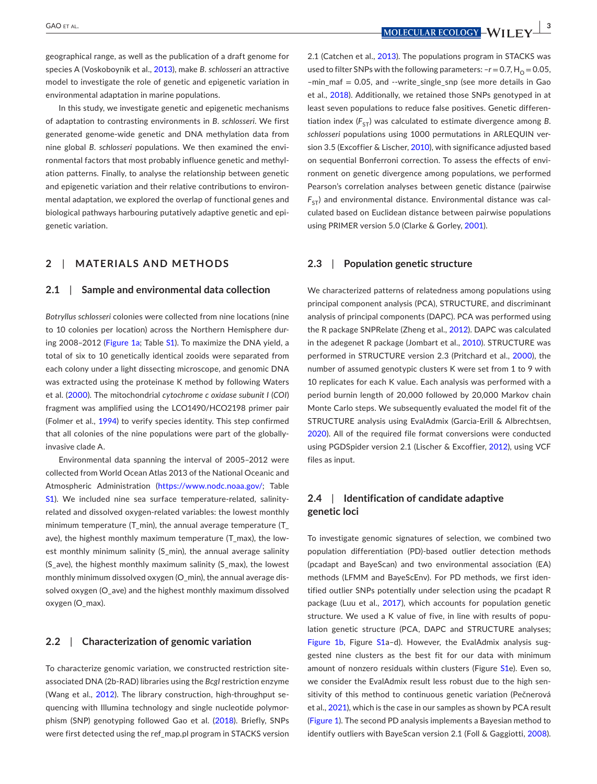geographical range, as well as the publication of a draft genome for species A (Voskoboynik et al., [2013](#page-14-5)), make *B*. *schlosseri* an attractive model to investigate the role of genetic and epigenetic variation in environmental adaptation in marine populations.

In this study, we investigate genetic and epigenetic mechanisms of adaptation to contrasting environments in *B*. *schlosseri*. We first generated genome-wide genetic and DNA methylation data from nine global *B*. *schlosseri* populations. We then examined the environmental factors that most probably influence genetic and methylation patterns. Finally, to analyse the relationship between genetic and epigenetic variation and their relative contributions to environmental adaptation, we explored the overlap of functional genes and biological pathways harbouring putatively adaptive genetic and epigenetic variation.

### **2**  | **MATERIALS AND METHODS**

#### **2.1**  | **Sample and environmental data collection**

*Botryllus schlosseri* colonies were collected from nine locations (nine to 10 colonies per location) across the Northern Hemisphere during 2008–2012 (Figure [1a;](#page-3-0) Table [S1](#page-14-6)). To maximize the DNA yield, a total of six to 10 genetically identical zooids were separated from each colony under a light dissecting microscope, and genomic DNA was extracted using the proteinase K method by following Waters et al. ([2000](#page-14-7)). The mitochondrial *cytochrome c oxidase subunit I* (*COI*) fragment was amplified using the LCO1490/HCO2198 primer pair (Folmer et al., [1994](#page-12-13)) to verify species identity. This step confirmed that all colonies of the nine populations were part of the globallyinvasive clade A.

Environmental data spanning the interval of 2005–2012 were collected from World Ocean Atlas 2013 of the National Oceanic and Atmospheric Administration (<https://www.nodc.noaa.gov/>; Table [S1](#page-14-6)). We included nine sea surface temperature-related, salinityrelated and dissolved oxygen-related variables: the lowest monthly minimum temperature (T\_min), the annual average temperature (T\_ ave), the highest monthly maximum temperature (T\_max), the lowest monthly minimum salinity (S\_min), the annual average salinity (S ave), the highest monthly maximum salinity (S max), the lowest monthly minimum dissolved oxygen (O\_min), the annual average dissolved oxygen (O\_ave) and the highest monthly maximum dissolved oxygen (O\_max).

## **2.2**  | **Characterization of genomic variation**

To characterize genomic variation, we constructed restriction siteassociated DNA (2b-RAD) libraries using the *BcgI* restriction enzyme (Wang et al., [2012](#page-14-8)). The library construction, high-throughput sequencing with Illumina technology and single nucleotide polymorphism (SNP) genotyping followed Gao et al. ([2018](#page-12-14)). Briefly, SNPs were first detected using the ref\_map.pl program in STACKS version

 **GAO** ET AL. *<b>*  $\overline{A}$  *<b>MOLECULAR ECOLOGY*  $\overline{A}$  **I I I** *FV* 

2.1 (Catchen et al., [2013](#page-12-15)). The populations program in STACKS was used to filter SNPs with the following parameters:  $-r = 0.7$ ,  $H_0 = 0.05$ , –min\_maf = 0.05, and --write\_single\_snp (see more details in Gao et al., [2018\)](#page-12-14). Additionally, we retained those SNPs genotyped in at least seven populations to reduce false positives. Genetic differentiation index  $(F_{ST})$  was calculated to estimate divergence among *B*. *schlosseri* populations using 1000 permutations in ARLEQUIN version 3.5 (Excoffier & Lischer, [2010](#page-12-16)), with significance adjusted based on sequential Bonferroni correction. To assess the effects of environment on genetic divergence among populations, we performed Pearson's correlation analyses between genetic distance (pairwise  $F_{ST}$ ) and environmental distance. Environmental distance was calculated based on Euclidean distance between pairwise populations using PRIMER version 5.0 (Clarke & Gorley, [2001](#page-12-17)).

## **2.3**  | **Population genetic structure**

We characterized patterns of relatedness among populations using principal component analysis (PCA), STRUCTURE, and discriminant analysis of principal components (DAPC). PCA was performed using the R package SNPRelate (Zheng et al., [2012](#page-14-9)). DAPC was calculated in the adegenet R package (Jombart et al., [2010](#page-13-14)). STRUCTURE was performed in STRUCTURE version 2.3 (Pritchard et al., [2000](#page-13-15)), the number of assumed genotypic clusters K were set from 1 to 9 with 10 replicates for each K value. Each analysis was performed with a period burnin length of 20,000 followed by 20,000 Markov chain Monte Carlo steps. We subsequently evaluated the model fit of the STRUCTURE analysis using EvalAdmix (Garcia-Erill & Albrechtsen, [2020](#page-12-18)). All of the required file format conversions were conducted using PGDSpider version 2.1 (Lischer & Excoffier, [2012](#page-13-16)), using VCF files as input.

## **2.4**  | **Identification of candidate adaptive genetic loci**

To investigate genomic signatures of selection, we combined two population differentiation (PD)-based outlier detection methods (pcadapt and BayeScan) and two environmental association (EA) methods (LFMM and BayeScEnv). For PD methods, we first identified outlier SNPs potentially under selection using the pcadapt R package (Luu et al., [2017](#page-13-17)), which accounts for population genetic structure. We used a K value of five, in line with results of population genetic structure (PCA, DAPC and STRUCTURE analyses; Figure [1b](#page-3-0), Figure [S1](#page-14-6)a-d). However, the EvalAdmix analysis suggested nine clusters as the best fit for our data with minimum amount of nonzero residuals within clusters (Figure [S1](#page-14-6)e). Even so, we consider the EvalAdmix result less robust due to the high sensitivity of this method to continuous genetic variation (Pečnerová et al., [2021](#page-13-18)), which is the case in our samples as shown by PCA result (Figure [1](#page-3-0)). The second PD analysis implements a Bayesian method to identify outliers with BayeScan version 2.1 (Foll & Gaggiotti, [2008\)](#page-12-19).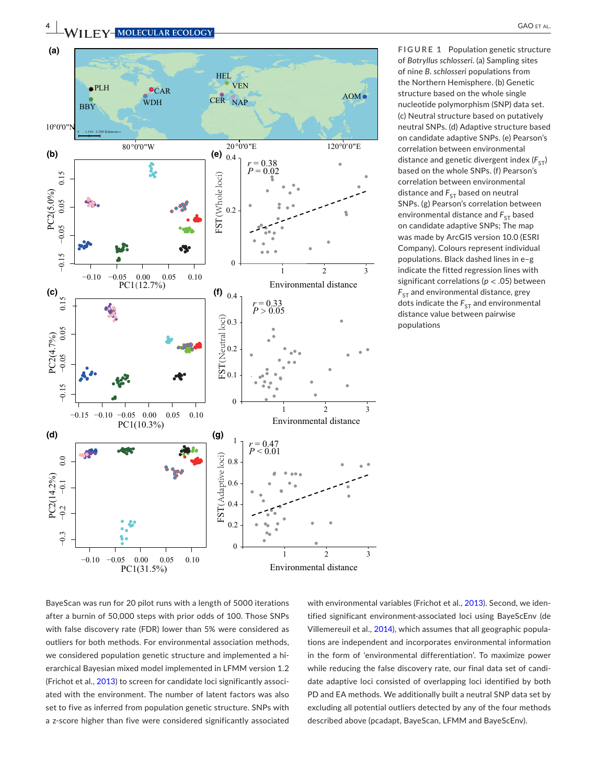

<span id="page-3-0"></span>**FIGURE 1** Population genetic structure of *Botryllus schlosseri*. (a) Sampling sites of nine *B*. *schlosseri* populations from the Northern Hemisphere. (b) Genetic structure based on the whole single nucleotide polymorphism (SNP) data set. (c) Neutral structure based on putatively neutral SNPs. (d) Adaptive structure based on candidate adaptive SNPs. (e) Pearson's correlation between environmental distance and genetic divergent index  $(F_{ST})$ based on the whole SNPs. (f) Pearson's correlation between environmental distance and  $F_{ST}$  based on neutral SNPs. (g) Pearson's correlation between environmental distance and  $F_{ST}$  based on candidate adaptive SNPs; The map was made by ArcGIS version 10.0 (ESRI Company). Colours represent individual populations. Black dashed lines in e–g indicate the fitted regression lines with significant correlations (*p* < .05) between  $F_{ST}$  and environmental distance, grey dots indicate the  $F_{ST}$  and environmental distance value between pairwise populations

BayeScan was run for 20 pilot runs with a length of 5000 iterations after a burnin of 50,000 steps with prior odds of 100. Those SNPs with false discovery rate (FDR) lower than 5% were considered as outliers for both methods. For environmental association methods, we considered population genetic structure and implemented a hierarchical Bayesian mixed model implemented in LFMM version 1.2 (Frichot et al., [2013](#page-12-20)) to screen for candidate loci significantly associated with the environment. The number of latent factors was also set to five as inferred from population genetic structure. SNPs with a z-score higher than five were considered significantly associated

with environmental variables (Frichot et al., [2013](#page-12-20)). Second, we identified significant environment-associated loci using BayeScEnv (de Villemereuil et al., [2014](#page-12-21)), which assumes that all geographic populations are independent and incorporates environmental information in the form of 'environmental differentiation'. To maximize power while reducing the false discovery rate, our final data set of candidate adaptive loci consisted of overlapping loci identified by both PD and EA methods. We additionally built a neutral SNP data set by excluding all potential outliers detected by any of the four methods described above (pcadapt, BayeScan, LFMM and BayeScEnv).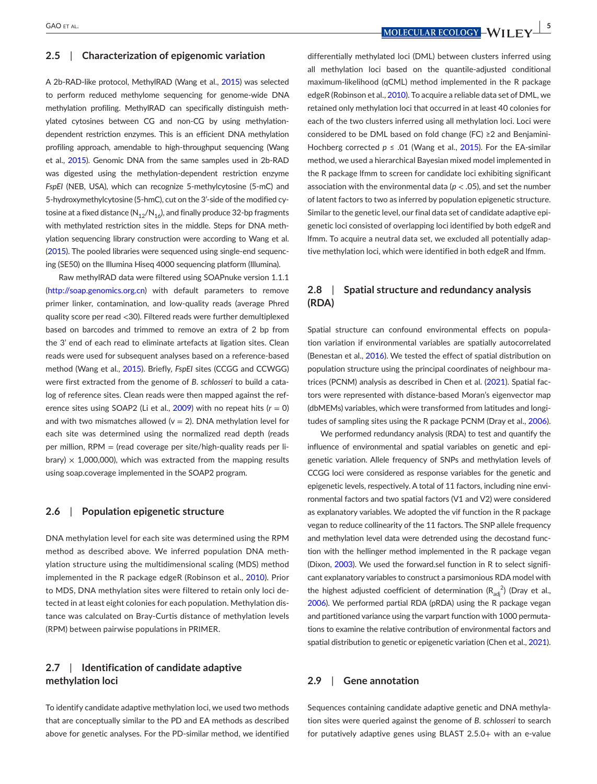#### **2.5**  | **Characterization of epigenomic variation**

A 2b-RAD-like protocol, MethylRAD (Wang et al., [2015](#page-14-10)) was selected to perform reduced methylome sequencing for genome-wide DNA methylation profiling. MethylRAD can specifically distinguish methylated cytosines between CG and non-CG by using methylationdependent restriction enzymes. This is an efficient DNA methylation profiling approach, amendable to high-throughput sequencing (Wang et al., [2015](#page-14-10)). Genomic DNA from the same samples used in 2b-RAD was digested using the methylation-dependent restriction enzyme *FspEI* (NEB, USA), which can recognize 5-methylcytosine (5-mC) and 5-hydroxymethylcytosine (5-hmC), cut on the 3'-side of the modified cytosine at a fixed distance  $(N_{12}/N_{16})$ , and finally produce 32-bp fragments with methylated restriction sites in the middle. Steps for DNA methylation sequencing library construction were according to Wang et al. ([2015](#page-14-10)). The pooled libraries were sequenced using single-end sequencing (SE50) on the Illumina Hiseq 4000 sequencing platform (Illumina).

Raw methylRAD data were filtered using SOAPnuke version 1.1.1 (<http://soap.genomics.org.cn>) with default parameters to remove primer linker, contamination, and low-quality reads (average Phred quality score per read <30). Filtered reads were further demultiplexed based on barcodes and trimmed to remove an extra of 2 bp from the 3' end of each read to eliminate artefacts at ligation sites. Clean reads were used for subsequent analyses based on a reference-based method (Wang et al., [2015](#page-14-10)). Briefly, *FspEI* sites (CCGG and CCWGG) were first extracted from the genome of *B*. *schlosseri* to build a catalog of reference sites. Clean reads were then mapped against the reference sites using SOAP2 (Li et al.,  $2009$ ) with no repeat hits  $(r = 0)$ and with two mismatches allowed ( $v = 2$ ). DNA methylation level for each site was determined using the normalized read depth (reads per million,  $RPM =$  (read coverage per site/high-quality reads per library)  $\times$  1,000,000), which was extracted from the mapping results using soap.coverage implemented in the SOAP2 program.

#### **2.6**  | **Population epigenetic structure**

DNA methylation level for each site was determined using the RPM method as described above. We inferred population DNA methylation structure using the multidimensional scaling (MDS) method implemented in the R package edgeR (Robinson et al., [2010](#page-13-20)). Prior to MDS, DNA methylation sites were filtered to retain only loci detected in at least eight colonies for each population. Methylation distance was calculated on Bray-Curtis distance of methylation levels (RPM) between pairwise populations in PRIMER.

# **2.7**  | **Identification of candidate adaptive methylation loci**

To identify candidate adaptive methylation loci, we used two methods that are conceptually similar to the PD and EA methods as described above for genetic analyses. For the PD-similar method, we identified

differentially methylated loci (DML) between clusters inferred using all methylation loci based on the quantile-adjusted conditional maximum-likelihood (qCML) method implemented in the R package edgeR (Robinson et al., [2010](#page-13-20)). To acquire a reliable data set of DML, we retained only methylation loci that occurred in at least 40 colonies for each of the two clusters inferred using all methylation loci. Loci were considered to be DML based on fold change (FC) ≥2 and Benjamini-Hochberg corrected *p* ≤ .01 (Wang et al., [2015](#page-14-10)). For the EA-similar method, we used a hierarchical Bayesian mixed model implemented in the R package lfmm to screen for candidate loci exhibiting significant association with the environmental data ( $p < .05$ ), and set the number of latent factors to two as inferred by population epigenetic structure. Similar to the genetic level, our final data set of candidate adaptive epigenetic loci consisted of overlapping loci identified by both edgeR and lfmm. To acquire a neutral data set, we excluded all potentially adaptive methylation loci, which were identified in both edgeR and lfmm.

## **2.8**  | **Spatial structure and redundancy analysis (RDA)**

Spatial structure can confound environmental effects on population variation if environmental variables are spatially autocorrelated (Benestan et al., [2016](#page-12-22)). We tested the effect of spatial distribution on population structure using the principal coordinates of neighbour matrices (PCNM) analysis as described in Chen et al. ([2021](#page-12-23)). Spatial factors were represented with distance-based Moran's eigenvector map (dbMEMs) variables, which were transformed from latitudes and longitudes of sampling sites using the R package PCNM (Dray et al., [2006](#page-12-24)).

We performed redundancy analysis (RDA) to test and quantify the influence of environmental and spatial variables on genetic and epigenetic variation. Allele frequency of SNPs and methylation levels of CCGG loci were considered as response variables for the genetic and epigenetic levels, respectively. A total of 11 factors, including nine environmental factors and two spatial factors (V1 and V2) were considered as explanatory variables. We adopted the vif function in the R package vegan to reduce collinearity of the 11 factors. The SNP allele frequency and methylation level data were detrended using the decostand function with the hellinger method implemented in the R package vegan (Dixon, [2003](#page-12-25)). We used the forward.sel function in R to select significant explanatory variables to construct a parsimonious RDA model with the highest adjusted coefficient of determination  $(R_{\text{adj}}^2)$  (Dray et al., [2006](#page-12-24)). We performed partial RDA (pRDA) using the R package vegan and partitioned variance using the varpart function with 1000 permutations to examine the relative contribution of environmental factors and spatial distribution to genetic or epigenetic variation (Chen et al., [2021](#page-12-23)).

## **2.9**  | **Gene annotation**

Sequences containing candidate adaptive genetic and DNA methylation sites were queried against the genome of *B*. *schlosseri* to search for putatively adaptive genes using BLAST 2.5.0+ with an e-value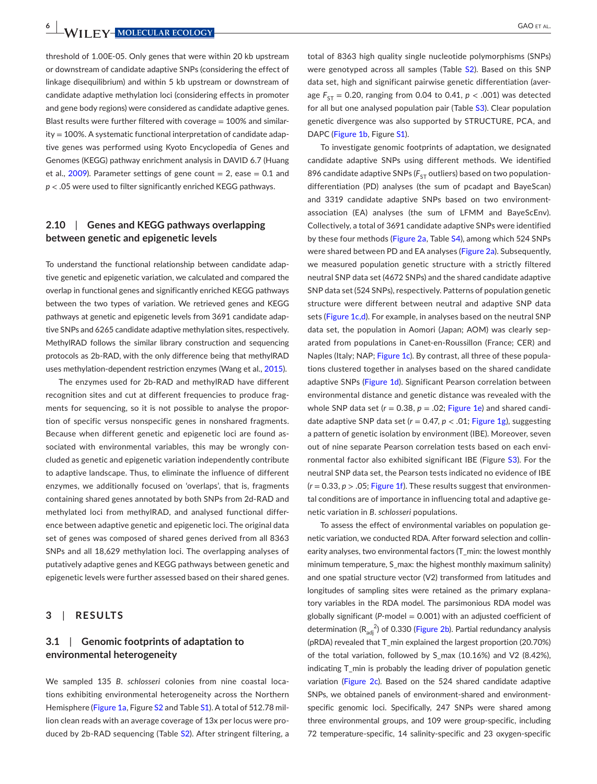**6 WII FY-MOLECULAR ECOLOGY GAO ET AL.** 

threshold of 1.00E-05. Only genes that were within 20 kb upstream or downstream of candidate adaptive SNPs (considering the effect of linkage disequilibrium) and within 5 kb upstream or downstream of candidate adaptive methylation loci (considering effects in promoter and gene body regions) were considered as candidate adaptive genes. Blast results were further filtered with coverage  $= 100\%$  and similarity = 100%. A systematic functional interpretation of candidate adaptive genes was performed using Kyoto Encyclopedia of Genes and Genomes (KEGG) pathway enrichment analysis in DAVID 6.7 (Huang et al.,  $2009$ ). Parameter settings of gene count = 2, ease = 0.1 and *p* < .05 were used to filter significantly enriched KEGG pathways.

## **2.10**  | **Genes and KEGG pathways overlapping between genetic and epigenetic levels**

To understand the functional relationship between candidate adaptive genetic and epigenetic variation, we calculated and compared the overlap in functional genes and significantly enriched KEGG pathways between the two types of variation. We retrieved genes and KEGG pathways at genetic and epigenetic levels from 3691 candidate adaptive SNPs and 6265 candidate adaptive methylation sites, respectively. MethylRAD follows the similar library construction and sequencing protocols as 2b-RAD, with the only difference being that methylRAD uses methylation-dependent restriction enzymes (Wang et al., [2015](#page-14-10)).

The enzymes used for 2b-RAD and methylRAD have different recognition sites and cut at different frequencies to produce fragments for sequencing, so it is not possible to analyse the proportion of specific versus nonspecific genes in nonshared fragments. Because when different genetic and epigenetic loci are found associated with environmental variables, this may be wrongly concluded as genetic and epigenetic variation independently contribute to adaptive landscape. Thus, to eliminate the influence of different enzymes, we additionally focused on 'overlaps', that is, fragments containing shared genes annotated by both SNPs from 2d-RAD and methylated loci from methylRAD, and analysed functional difference between adaptive genetic and epigenetic loci. The original data set of genes was composed of shared genes derived from all 8363 SNPs and all 18,629 methylation loci. The overlapping analyses of putatively adaptive genes and KEGG pathways between genetic and epigenetic levels were further assessed based on their shared genes.

#### **3**  | **RESULTS**

# **3.1**  | **Genomic footprints of adaptation to environmental heterogeneity**

We sampled 135 *B*. *schlosseri* colonies from nine coastal locations exhibiting environmental heterogeneity across the Northern Hemisphere (Figure [1a](#page-3-0), Figure [S2](#page-14-6) and Table [S1](#page-14-6)). A total of 512.78 million clean reads with an average coverage of 13x per locus were pro-duced by 2b-RAD sequencing (Table [S2](#page-14-6)). After stringent filtering, a

total of 8363 high quality single nucleotide polymorphisms (SNPs) were genotyped across all samples (Table [S2](#page-14-6)). Based on this SNP data set, high and significant pairwise genetic differentiation (average  $F_{ST} = 0.20$ , ranging from 0.04 to 0.41,  $p < .001$ ) was detected for all but one analysed population pair (Table [S3](#page-14-6)). Clear population genetic divergence was also supported by STRUCTURE, PCA, and DAPC (Figure [1b](#page-3-0), Figure [S1](#page-14-6)).

To investigate genomic footprints of adaptation, we designated candidate adaptive SNPs using different methods. We identified 896 candidate adaptive SNPs ( $F_{ST}$  outliers) based on two populationdifferentiation (PD) analyses (the sum of pcadapt and BayeScan) and 3319 candidate adaptive SNPs based on two environmentassociation (EA) analyses (the sum of LFMM and BayeScEnv). Collectively, a total of 3691 candidate adaptive SNPs were identified by these four methods (Figure [2a](#page-6-0), Table [S4](#page-14-6)), among which 524 SNPs were shared between PD and EA analyses (Figure [2a](#page-6-0)). Subsequently, we measured population genetic structure with a strictly filtered neutral SNP data set (4672 SNPs) and the shared candidate adaptive SNP data set (524 SNPs), respectively. Patterns of population genetic structure were different between neutral and adaptive SNP data sets (Figure [1c,d\)](#page-3-0). For example, in analyses based on the neutral SNP data set, the population in Aomori (Japan; AOM) was clearly separated from populations in Canet-en-Roussillon (France; CER) and Naples (Italy; NAP; Figure [1c](#page-3-0)). By contrast, all three of these populations clustered together in analyses based on the shared candidate adaptive SNPs (Figure [1d](#page-3-0)). Significant Pearson correlation between environmental distance and genetic distance was revealed with the whole SNP data set  $(r = 0.38, p = .02$ ; Figure [1e](#page-3-0)) and shared candidate adaptive SNP data set  $(r = 0.47, p < .01$ ; Figure [1g\)](#page-3-0), suggesting a pattern of genetic isolation by environment (IBE). Moreover, seven out of nine separate Pearson correlation tests based on each envi-ronmental factor also exhibited significant IBE (Figure [S3](#page-14-6)). For the neutral SNP data set, the Pearson tests indicated no evidence of IBE  $(r = 0.33, p > 0.05;$  Figure [1f](#page-3-0)). These results suggest that environmental conditions are of importance in influencing total and adaptive genetic variation in *B*. *schlosseri* populations.

To assess the effect of environmental variables on population genetic variation, we conducted RDA. After forward selection and collinearity analyses, two environmental factors (T\_min: the lowest monthly minimum temperature, S\_max: the highest monthly maximum salinity) and one spatial structure vector (V2) transformed from latitudes and longitudes of sampling sites were retained as the primary explanatory variables in the RDA model. The parsimonious RDA model was globally significant (*P*-model = 0.001) with an adjusted coefficient of determination  $(R_{adj}^2)$  of 0.330 (Figure [2b](#page-6-0)). Partial redundancy analysis (pRDA) revealed that T\_min explained the largest proportion (20.70%) of the total variation, followed by S\_max (10.16%) and V2 (8.42%), indicating T\_min is probably the leading driver of population genetic variation (Figure [2c](#page-6-0)). Based on the 524 shared candidate adaptive SNPs, we obtained panels of environment-shared and environmentspecific genomic loci. Specifically, 247 SNPs were shared among three environmental groups, and 109 were group-specific, including 72 temperature-specific, 14 salinity-specific and 23 oxygen-specific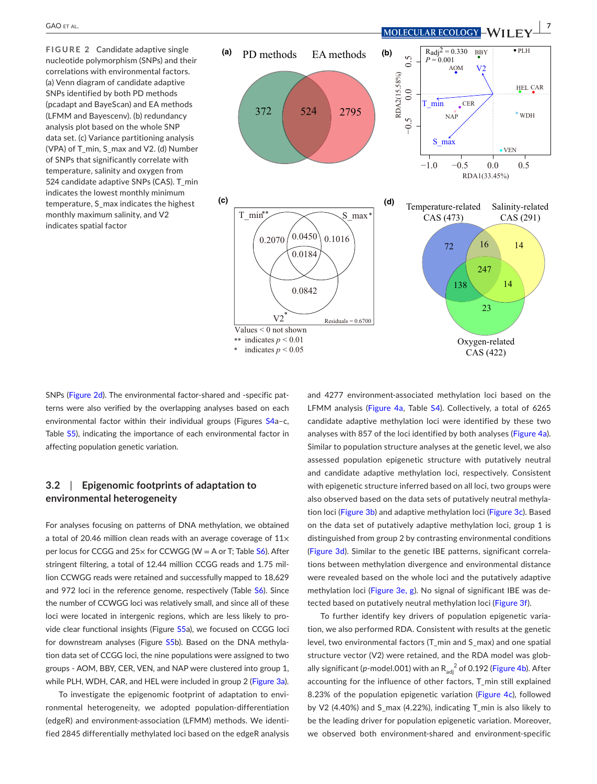<span id="page-6-0"></span>**FIGURE 2** Candidate adaptive single nucleotide polymorphism (SNPs) and their correlations with environmental factors. (a) Venn diagram of candidate adaptive SNPs identified by both PD methods (pcadapt and BayeScan) and EA methods (LFMM and Bayescenv). (b) redundancy analysis plot based on the whole SNP data set. (c) Variance partitioning analysis (VPA) of T\_min, S\_max and V2. (d) Number of SNPs that significantly correlate with temperature, salinity and oxygen from 524 candidate adaptive SNPs (CAS). T\_min indicates the lowest monthly minimum temperature, S\_max indicates the highest monthly maximum salinity, and V2 indicates spatial factor



SNPs (Figure [2d](#page-6-0)). The environmental factor-shared and -specific patterns were also verified by the overlapping analyses based on each environmental factor within their individual groups (Figures [S4](#page-14-6)a–c, Table [S5](#page-14-6)), indicating the importance of each environmental factor in affecting population genetic variation.

# **3.2**  | **Epigenomic footprints of adaptation to environmental heterogeneity**

For analyses focusing on patterns of DNA methylation, we obtained a total of 20.46 million clean reads with an average coverage of  $11 \times$ per locus for CCGG and  $25x$  for CCWGG (W = A or T; Table  $S6$ ). After stringent filtering, a total of 12.44 million CCGG reads and 1.75 million CCWGG reads were retained and successfully mapped to 18,629 and 972 loci in the reference genome, respectively (Table [S6](#page-14-6)). Since the number of CCWGG loci was relatively small, and since all of these loci were located in intergenic regions, which are less likely to provide clear functional insights (Figure [S5](#page-14-6)a), we focused on CCGG loci for downstream analyses (Figure [S5](#page-14-6)b). Based on the DNA methylation data set of CCGG loci, the nine populations were assigned to two groups - AOM, BBY, CER, VEN, and NAP were clustered into group 1, while PLH, WDH, CAR, and HEL were included in group 2 (Figure [3a](#page-7-0)).

To investigate the epigenomic footprint of adaptation to environmental heterogeneity, we adopted population-differentiation (edgeR) and environment-association (LFMM) methods. We identified 2845 differentially methylated loci based on the edgeR analysis and 4277 environment-associated methylation loci based on the LFMM analysis (Figure [4a](#page-8-0), Table [S4](#page-14-6)). Collectively, a total of 6265 candidate adaptive methylation loci were identified by these two analyses with 857 of the loci identified by both analyses (Figure [4a](#page-8-0)). Similar to population structure analyses at the genetic level, we also assessed population epigenetic structure with putatively neutral and candidate adaptive methylation loci, respectively. Consistent with epigenetic structure inferred based on all loci, two groups were also observed based on the data sets of putatively neutral methyla-tion loci (Figure [3b](#page-7-0)) and adaptive methylation loci (Figure [3c](#page-7-0)). Based on the data set of putatively adaptive methylation loci, group 1 is distinguished from group 2 by contrasting environmental conditions (Figure [3d](#page-7-0)). Similar to the genetic IBE patterns, significant correlations between methylation divergence and environmental distance were revealed based on the whole loci and the putatively adaptive methylation loci (Figure [3e, g](#page-7-0)). No signal of significant IBE was detected based on putatively neutral methylation loci (Figure [3f](#page-7-0)).

To further identify key drivers of population epigenetic variation, we also performed RDA. Consistent with results at the genetic level, two environmental factors (T\_min and S\_max) and one spatial structure vector (V2) were retained, and the RDA model was glob-ally significant (p-model.001) with an R<sub>adj</sub> <sup>2</sup> of 0.192 (Figure [4b](#page-8-0)). After accounting for the influence of other factors, T\_min still explained 8.23% of the population epigenetic variation (Figure [4c](#page-8-0)), followed by V2 (4.40%) and S\_max (4.22%), indicating T\_min is also likely to be the leading driver for population epigenetic variation. Moreover, we observed both environment-shared and environment-specific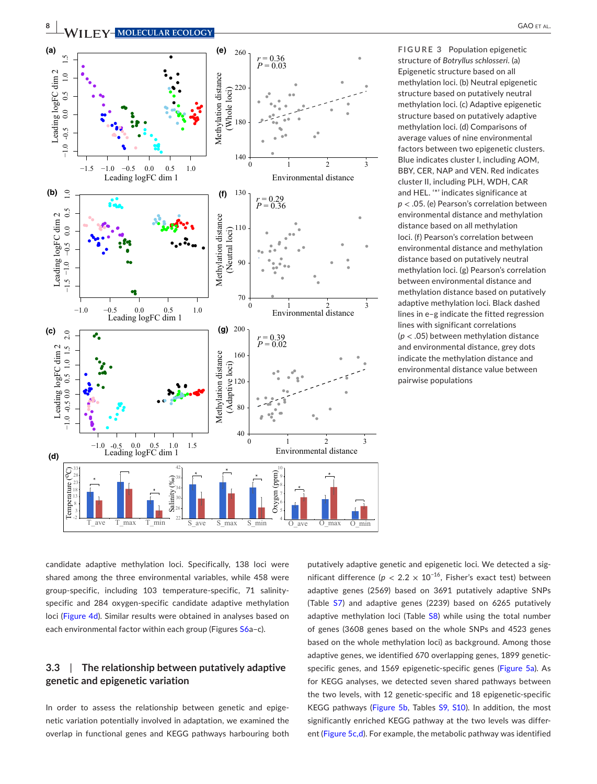

<span id="page-7-0"></span>**FIGURE 3** Population epigenetic structure of *Botryllus schlosseri*. (a) Epigenetic structure based on all methylation loci. (b) Neutral epigenetic structure based on putatively neutral methylation loci. (c) Adaptive epigenetic structure based on putatively adaptive methylation loci. (d) Comparisons of average values of nine environmental factors between two epigenetic clusters. Blue indicates cluster I, including AOM, BBY, CER, NAP and VEN. Red indicates cluster II, including PLH, WDH, CAR and HEL. '\*' indicates significance at *p* < .05. (e) Pearson's correlation between environmental distance and methylation distance based on all methylation loci. (f) Pearson's correlation between environmental distance and methylation distance based on putatively neutral methylation loci. (g) Pearson's correlation between environmental distance and methylation distance based on putatively adaptive methylation loci. Black dashed lines in e–g indicate the fitted regression lines with significant correlations (*p* < .05) between methylation distance and environmental distance, grey dots indicate the methylation distance and environmental distance value between pairwise populations

candidate adaptive methylation loci. Specifically, 138 loci were shared among the three environmental variables, while 458 were group-specific, including 103 temperature-specific, 71 salinityspecific and 284 oxygen-specific candidate adaptive methylation loci (Figure [4d](#page-8-0)). Similar results were obtained in analyses based on each environmental factor within each group (Figures [S6](#page-14-6)a-c).

# **3.3**  | **The relationship between putatively adaptive genetic and epigenetic variation**

In order to assess the relationship between genetic and epigenetic variation potentially involved in adaptation, we examined the overlap in functional genes and KEGG pathways harbouring both

putatively adaptive genetic and epigenetic loci. We detected a significant difference ( $p < 2.2 \times 10^{-16}$ , Fisher's exact test) between adaptive genes (2569) based on 3691 putatively adaptive SNPs (Table [S7](#page-14-6)) and adaptive genes (2239) based on 6265 putatively adaptive methylation loci (Table [S8\)](#page-14-6) while using the total number of genes (3608 genes based on the whole SNPs and 4523 genes based on the whole methylation loci) as background. Among those adaptive genes, we identified 670 overlapping genes, 1899 geneticspecific genes, and 1569 epigenetic-specific genes (Figure [5a](#page-9-0)). As for KEGG analyses, we detected seven shared pathways between the two levels, with 12 genetic-specific and 18 epigenetic-specific KEGG pathways (Figure [5b](#page-9-0), Tables [S9, S10\)](#page-14-6). In addition, the most significantly enriched KEGG pathway at the two levels was different (Figure [5c,d](#page-9-0)). For example, the metabolic pathway was identified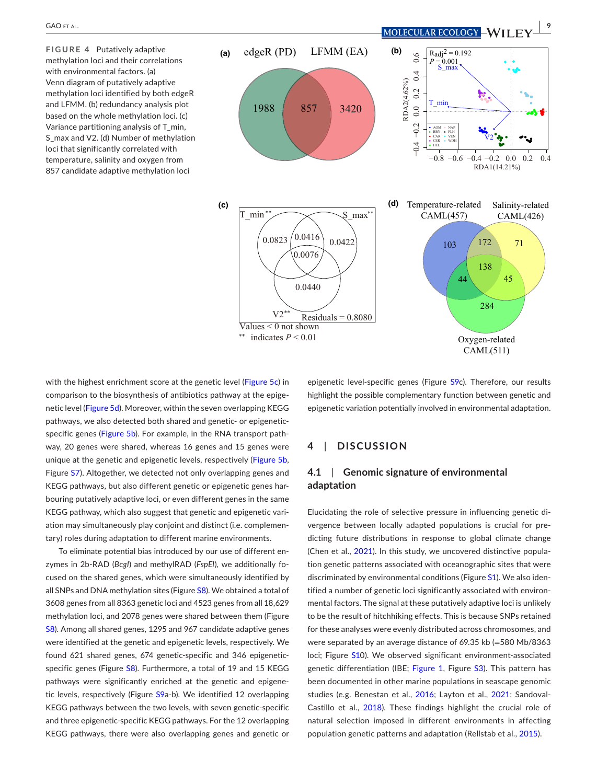<span id="page-8-0"></span>**FIGURE 4** Putatively adaptive methylation loci and their correlations with environmental factors. (a) Venn diagram of putatively adaptive methylation loci identified by both edgeR and LFMM. (b) redundancy analysis plot based on the whole methylation loci. (c) Variance partitioning analysis of T\_min, S\_max and V2. (d) Number of methylation loci that significantly correlated with temperature, salinity and oxygen from 857 candidate adaptive methylation loci



with the highest enrichment score at the genetic level (Figure [5c](#page-9-0)) in comparison to the biosynthesis of antibiotics pathway at the epige-netic level (Figure [5d](#page-9-0)). Moreover, within the seven overlapping KEGG pathways, we also detected both shared and genetic- or epigeneticspecific genes (Figure [5b](#page-9-0)). For example, in the RNA transport pathway, 20 genes were shared, whereas 16 genes and 15 genes were unique at the genetic and epigenetic levels, respectively (Figure [5b](#page-9-0), Figure [S7](#page-14-6)). Altogether, we detected not only overlapping genes and KEGG pathways, but also different genetic or epigenetic genes harbouring putatively adaptive loci, or even different genes in the same KEGG pathway, which also suggest that genetic and epigenetic variation may simultaneously play conjoint and distinct (i.e. complementary) roles during adaptation to different marine environments.

To eliminate potential bias introduced by our use of different enzymes in 2b-RAD (*BcgI*) and methylRAD (*FspEI*), we additionally focused on the shared genes, which were simultaneously identified by all SNPs and DNA methylation sites (Figure [S8\)](#page-14-6). We obtained a total of 3608 genes from all 8363 genetic loci and 4523 genes from all 18,629 methylation loci, and 2078 genes were shared between them (Figure [S8\)](#page-14-6). Among all shared genes, 1295 and 967 candidate adaptive genes were identified at the genetic and epigenetic levels, respectively. We found 621 shared genes, 674 genetic-specific and 346 epigenetic-specific genes (Figure [S8\)](#page-14-6). Furthermore, a total of 19 and 15 KEGG pathways were significantly enriched at the genetic and epigene-tic levels, respectively (Figure [S9](#page-14-6)a-b). We identified 12 overlapping KEGG pathways between the two levels, with seven genetic-specific and three epigenetic-specific KEGG pathways. For the 12 overlapping KEGG pathways, there were also overlapping genes and genetic or epigenetic level-specific genes (Figure [S9](#page-14-6)c). Therefore, our results highlight the possible complementary function between genetic and epigenetic variation potentially involved in environmental adaptation.

## **4**  | **DISCUSSION**

## **4.1**  | **Genomic signature of environmental adaptation**

Elucidating the role of selective pressure in influencing genetic divergence between locally adapted populations is crucial for predicting future distributions in response to global climate change (Chen et al., [2021](#page-12-23)). In this study, we uncovered distinctive population genetic patterns associated with oceanographic sites that were discriminated by environmental conditions (Figure [S1](#page-14-6)). We also identified a number of genetic loci significantly associated with environmental factors. The signal at these putatively adaptive loci is unlikely to be the result of hitchhiking effects. This is because SNPs retained for these analyses were evenly distributed across chromosomes, and were separated by an average distance of 69.35 kb (=580 Mb/8363 loci; Figure [S1](#page-14-6)0). We observed significant environment-associated genetic differentiation (IBE; Figure [1](#page-3-0), Figure [S3](#page-14-6)). This pattern has been documented in other marine populations in seascape genomic studies (e.g. Benestan et al., [2016](#page-12-22); Layton et al., [2021](#page-13-22); Sandoval-Castillo et al., [2018\)](#page-13-23). These findings highlight the crucial role of natural selection imposed in different environments in affecting population genetic patterns and adaptation (Rellstab et al., [2015](#page-13-24)).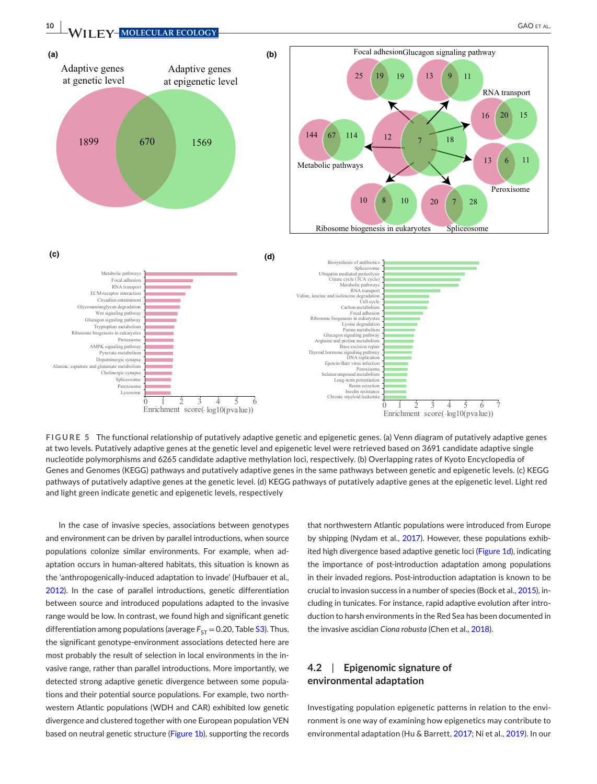

<span id="page-9-0"></span>**FIGURE 5** The functional relationship of putatively adaptive genetic and epigenetic genes. (a) Venn diagram of putatively adaptive genes at two levels. Putatively adaptive genes at the genetic level and epigenetic level were retrieved based on 3691 candidate adaptive single nucleotide polymorphisms and 6265 candidate adaptive methylation loci, respectively. (b) Overlapping rates of Kyoto Encyclopedia of Genes and Genomes (KEGG) pathways and putatively adaptive genes in the same pathways between genetic and epigenetic levels. (c) KEGG pathways of putatively adaptive genes at the genetic level. (d) KEGG pathways of putatively adaptive genes at the epigenetic level. Light red and light green indicate genetic and epigenetic levels, respectively

In the case of invasive species, associations between genotypes and environment can be driven by parallel introductions, when source populations colonize similar environments. For example, when adaptation occurs in human-altered habitats, this situation is known as the 'anthropogenically-induced adaptation to invade' (Hufbauer et al., [2012](#page-13-25)). In the case of parallel introductions, genetic differentiation between source and introduced populations adapted to the invasive range would be low. In contrast, we found high and significant genetic differentiation among populations (average  $F_{ST} = 0.20$ , Table [S3](#page-14-6)). Thus, the significant genotype-environment associations detected here are most probably the result of selection in local environments in the invasive range, rather than parallel introductions. More importantly, we detected strong adaptive genetic divergence between some populations and their potential source populations. For example, two northwestern Atlantic populations (WDH and CAR) exhibited low genetic divergence and clustered together with one European population VEN based on neutral genetic structure (Figure [1b](#page-3-0)), supporting the records

that northwestern Atlantic populations were introduced from Europe by shipping (Nydam et al., [2017](#page-13-11)). However, these populations exhibited high divergence based adaptive genetic loci (Figure [1d](#page-3-0)), indicating the importance of post-introduction adaptation among populations in their invaded regions. Post-introduction adaptation is known to be crucial to invasion success in a number of species (Bock et al., [2015](#page-12-2)), including in tunicates. For instance, rapid adaptive evolution after introduction to harsh environments in the Red Sea has been documented in the invasive ascidian *Ciona robusta* (Chen et al., [2018](#page-12-26)).

## **4.2**  | **Epigenomic signature of environmental adaptation**

Investigating population epigenetic patterns in relation to the environment is one way of examining how epigenetics may contribute to environmental adaptation (Hu & Barrett, [2017](#page-13-3); Ni et al., [2019](#page-13-1)). In our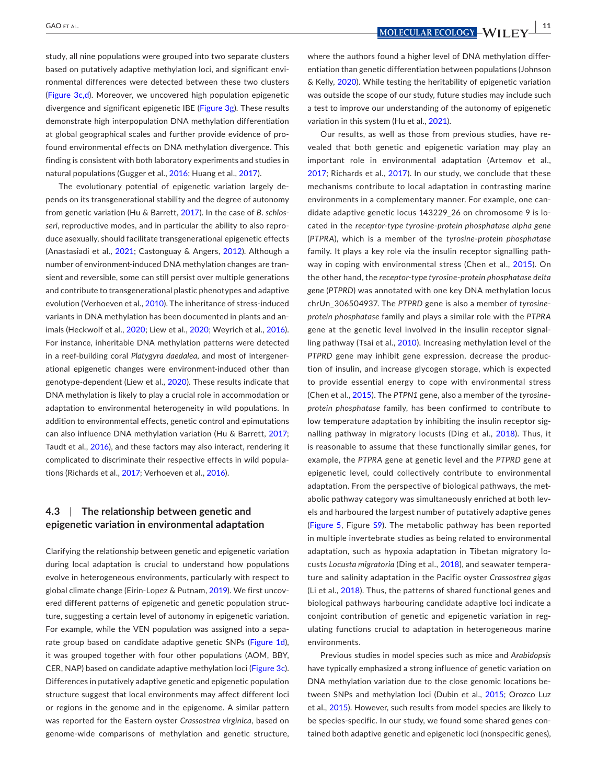study, all nine populations were grouped into two separate clusters based on putatively adaptive methylation loci, and significant environmental differences were detected between these two clusters (Figure [3c,d\)](#page-7-0). Moreover, we uncovered high population epigenetic divergence and significant epigenetic IBE (Figure [3g\)](#page-7-0). These results demonstrate high interpopulation DNA methylation differentiation at global geographical scales and further provide evidence of profound environmental effects on DNA methylation divergence. This finding is consistent with both laboratory experiments and studies in natural populations (Gugger et al., [2016](#page-12-27); Huang et al., [2017](#page-13-26)).

The evolutionary potential of epigenetic variation largely depends on its transgenerational stability and the degree of autonomy from genetic variation (Hu & Barrett, [2017](#page-13-3)). In the case of *B*. *schlosseri*, reproductive modes, and in particular the ability to also reproduce asexually, should facilitate transgenerational epigenetic effects (Anastasiadi et al., [2021](#page-12-28); Castonguay & Angers, [2012](#page-12-29)). Although a number of environment-induced DNA methylation changes are transient and reversible, some can still persist over multiple generations and contribute to transgenerational plastic phenotypes and adaptive evolution (Verhoeven et al., [2010](#page-14-11)). The inheritance of stress-induced variants in DNA methylation has been documented in plants and animals (Heckwolf et al., [2020](#page-13-4); Liew et al., [2020](#page-13-9); Weyrich et al., [2016](#page-14-12)). For instance, inheritable DNA methylation patterns were detected in a reef-building coral *Platygyra daedalea*, and most of intergenerational epigenetic changes were environment-induced other than genotype-dependent (Liew et al., [2020](#page-13-9)). These results indicate that DNA methylation is likely to play a crucial role in accommodation or adaptation to environmental heterogeneity in wild populations. In addition to environmental effects, genetic control and epimutations can also influence DNA methylation variation (Hu & Barrett, [2017](#page-13-3); Taudt et al., [2016](#page-13-8)), and these factors may also interact, rendering it complicated to discriminate their respective effects in wild populations (Richards et al., [2017](#page-13-5); Verhoeven et al., [2016](#page-14-1)).

## **4.3**  | **The relationship between genetic and epigenetic variation in environmental adaptation**

Clarifying the relationship between genetic and epigenetic variation during local adaptation is crucial to understand how populations evolve in heterogeneous environments, particularly with respect to global climate change (Eirin-Lopez & Putnam, [2019\)](#page-12-1). We first uncovered different patterns of epigenetic and genetic population structure, suggesting a certain level of autonomy in epigenetic variation. For example, while the VEN population was assigned into a sepa-rate group based on candidate adaptive genetic SNPs (Figure [1d](#page-3-0)), it was grouped together with four other populations (AOM, BBY, CER, NAP) based on candidate adaptive methylation loci (Figure [3c](#page-7-0)). Differences in putatively adaptive genetic and epigenetic population structure suggest that local environments may affect different loci or regions in the genome and in the epigenome. A similar pattern was reported for the Eastern oyster *Crassostrea virginica*, based on genome-wide comparisons of methylation and genetic structure,

where the authors found a higher level of DNA methylation differentiation than genetic differentiation between populations (Johnson & Kelly, [2020](#page-13-27)). While testing the heritability of epigenetic variation was outside the scope of our study, future studies may include such a test to improve our understanding of the autonomy of epigenetic variation in this system (Hu et al., [2021](#page-13-28)).

Our results, as well as those from previous studies, have revealed that both genetic and epigenetic variation may play an important role in environmental adaptation (Artemov et al., [2017](#page-12-30); Richards et al., [2017](#page-13-5)). In our study, we conclude that these mechanisms contribute to local adaptation in contrasting marine environments in a complementary manner. For example, one candidate adaptive genetic locus 143229\_26 on chromosome 9 is located in the *receptor*-*type tyrosine*-*protein phosphatase alpha gene* (*PTPRA*), which is a member of the *tyrosine*-*protein phosphatase* family. It plays a key role via the insulin receptor signalling pathway in coping with environmental stress (Chen et al., [2015](#page-12-31)). On the other hand, the *receptor*-*type tyrosine*-*protein phosphatase delta gene* (*PTPRD*) was annotated with one key DNA methylation locus chrUn\_306504937. The *PTPRD* gene is also a member of *tyrosineprotein phosphatase* family and plays a similar role with the *PTPRA* gene at the genetic level involved in the insulin receptor signalling pathway (Tsai et al., [2010](#page-14-13)). Increasing methylation level of the *PTPRD* gene may inhibit gene expression, decrease the production of insulin, and increase glycogen storage, which is expected to provide essential energy to cope with environmental stress (Chen et al., [2015](#page-12-31)). The *PTPN1* gene, also a member of the *tyrosineprotein phosphatase* family, has been confirmed to contribute to low temperature adaptation by inhibiting the insulin receptor signalling pathway in migratory locusts (Ding et al., [2018\)](#page-12-32). Thus, it is reasonable to assume that these functionally similar genes, for example, the *PTPRA* gene at genetic level and the *PTPRD* gene at epigenetic level, could collectively contribute to environmental adaptation. From the perspective of biological pathways, the metabolic pathway category was simultaneously enriched at both levels and harboured the largest number of putatively adaptive genes (Figure [5](#page-9-0), Figure [S9](#page-14-6)). The metabolic pathway has been reported in multiple invertebrate studies as being related to environmental adaptation, such as hypoxia adaptation in Tibetan migratory locusts *Locusta migratoria* (Ding et al., [2018](#page-12-32)), and seawater temperature and salinity adaptation in the Pacific oyster *Crassostrea gigas* (Li et al., [2018](#page-13-29)). Thus, the patterns of shared functional genes and biological pathways harbouring candidate adaptive loci indicate a conjoint contribution of genetic and epigenetic variation in regulating functions crucial to adaptation in heterogeneous marine environments.

Previous studies in model species such as mice and *Arabidopsis* have typically emphasized a strong influence of genetic variation on DNA methylation variation due to the close genomic locations between SNPs and methylation loci (Dubin et al., [2015](#page-12-5); Orozco Luz et al., [2015](#page-13-30)). However, such results from model species are likely to be species-specific. In our study, we found some shared genes contained both adaptive genetic and epigenetic loci (nonspecific genes),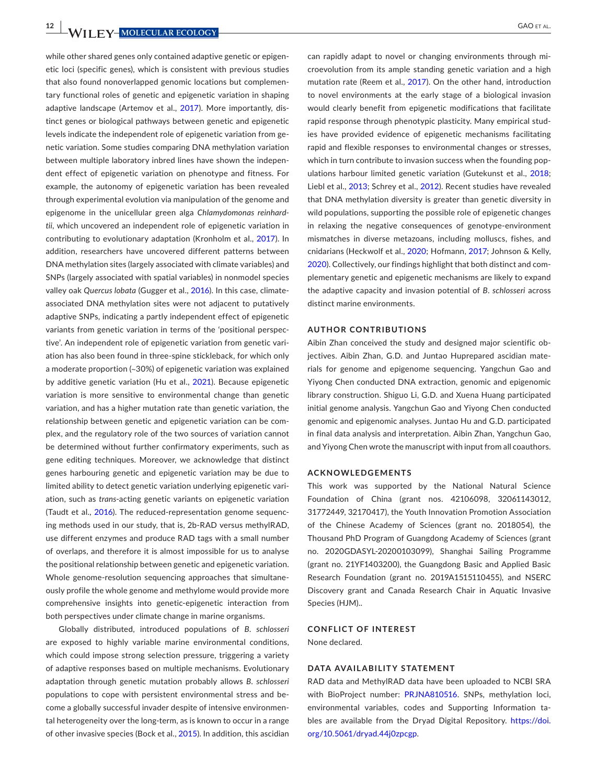**12 WII FY-MOLECULAR ECOLOGY CAO ET AL.** GAO ET AL.

while other shared genes only contained adaptive genetic or epigenetic loci (specific genes), which is consistent with previous studies that also found nonoverlapped genomic locations but complementary functional roles of genetic and epigenetic variation in shaping adaptive landscape (Artemov et al., [2017](#page-12-30)). More importantly, distinct genes or biological pathways between genetic and epigenetic levels indicate the independent role of epigenetic variation from genetic variation. Some studies comparing DNA methylation variation between multiple laboratory inbred lines have shown the independent effect of epigenetic variation on phenotype and fitness. For example, the autonomy of epigenetic variation has been revealed through experimental evolution via manipulation of the genome and epigenome in the unicellular green alga *Chlamydomonas reinhardtii*, which uncovered an independent role of epigenetic variation in contributing to evolutionary adaptation (Kronholm et al., [2017](#page-13-7)). In addition, researchers have uncovered different patterns between DNA methylation sites (largely associated with climate variables) and SNPs (largely associated with spatial variables) in nonmodel species valley oak *Quercus lobata* (Gugger et al., [2016](#page-12-27)). In this case, climateassociated DNA methylation sites were not adjacent to putatively adaptive SNPs, indicating a partly independent effect of epigenetic variants from genetic variation in terms of the 'positional perspective'. An independent role of epigenetic variation from genetic variation has also been found in three-spine stickleback, for which only a moderate proportion (~30%) of epigenetic variation was explained by additive genetic variation (Hu et al., [2021](#page-13-28)). Because epigenetic variation is more sensitive to environmental change than genetic variation, and has a higher mutation rate than genetic variation, the relationship between genetic and epigenetic variation can be complex, and the regulatory role of the two sources of variation cannot be determined without further confirmatory experiments, such as gene editing techniques. Moreover, we acknowledge that distinct genes harbouring genetic and epigenetic variation may be due to limited ability to detect genetic variation underlying epigenetic variation, such as *trans*-acting genetic variants on epigenetic variation (Taudt et al., [2016](#page-13-8)). The reduced-representation genome sequencing methods used in our study, that is, 2b-RAD versus methylRAD, use different enzymes and produce RAD tags with a small number of overlaps, and therefore it is almost impossible for us to analyse the positional relationship between genetic and epigenetic variation. Whole genome-resolution sequencing approaches that simultaneously profile the whole genome and methylome would provide more comprehensive insights into genetic-epigenetic interaction from both perspectives under climate change in marine organisms.

Globally distributed, introduced populations of *B*. *schlosseri* are exposed to highly variable marine environmental conditions, which could impose strong selection pressure, triggering a variety of adaptive responses based on multiple mechanisms. Evolutionary adaptation through genetic mutation probably allows *B*. *schlosseri* populations to cope with persistent environmental stress and become a globally successful invader despite of intensive environmental heterogeneity over the long-term, as is known to occur in a range of other invasive species (Bock et al., [2015](#page-12-2)). In addition, this ascidian

can rapidly adapt to novel or changing environments through microevolution from its ample standing genetic variation and a high mutation rate (Reem et al., [2017](#page-13-13)). On the other hand, introduction to novel environments at the early stage of a biological invasion would clearly benefit from epigenetic modifications that facilitate rapid response through phenotypic plasticity. Many empirical studies have provided evidence of epigenetic mechanisms facilitating rapid and flexible responses to environmental changes or stresses, which in turn contribute to invasion success when the founding populations harbour limited genetic variation (Gutekunst et al., [2018](#page-13-31); Liebl et al., [2013](#page-13-32); Schrey et al., [2012](#page-13-33)). Recent studies have revealed that DNA methylation diversity is greater than genetic diversity in wild populations, supporting the possible role of epigenetic changes in relaxing the negative consequences of genotype-environment mismatches in diverse metazoans, including molluscs, fishes, and cnidarians (Heckwolf et al., [2020](#page-13-4); Hofmann, [2017](#page-13-34); Johnson & Kelly, [2020](#page-13-27)). Collectively, our findings highlight that both distinct and complementary genetic and epigenetic mechanisms are likely to expand the adaptive capacity and invasion potential of *B*. *schlosseri* across distinct marine environments.

#### **AUTHOR CONTRIBUTIONS**

Aibin Zhan conceived the study and designed major scientific objectives. Aibin Zhan, G.D. and Juntao Huprepared ascidian materials for genome and epigenome sequencing. Yangchun Gao and Yiyong Chen conducted DNA extraction, genomic and epigenomic library construction. Shiguo Li, G.D. and Xuena Huang participated initial genome analysis. Yangchun Gao and Yiyong Chen conducted genomic and epigenomic analyses. Juntao Hu and G.D. participated in final data analysis and interpretation. Aibin Zhan, Yangchun Gao, and Yiyong Chen wrote the manuscript with input from all coauthors.

#### **ACKNOWLEDGEMENTS**

This work was supported by the National Natural Science Foundation of China (grant nos. 42106098, 32061143012, 31772449, 32170417), the Youth Innovation Promotion Association of the Chinese Academy of Sciences (grant no. 2018054), the Thousand PhD Program of Guangdong Academy of Sciences (grant no. 2020GDASYL-20200103099), Shanghai Sailing Programme (grant no. 21YF1403200), the Guangdong Basic and Applied Basic Research Foundation (grant no. 2019A1515110455), and NSERC Discovery grant and Canada Research Chair in Aquatic Invasive Species (HJM)..

#### **CONFLICT OF INTEREST**

None declared.

#### **DATA AVAILABILITY STATEMENT**

RAD data and MethylRAD data have been uploaded to NCBI SRA with BioProject number: [PRJNA810516](info:x-wiley/peptideatlas/PRJNA810516). SNPs, methylation loci, environmental variables, codes and Supporting Information tables are available from the Dryad Digital Repository. [https://doi.](https://doi.org/10.5061/dryad.44j0zpcgp) [org/10.5061/dryad.44j0zpcgp](https://doi.org/10.5061/dryad.44j0zpcgp).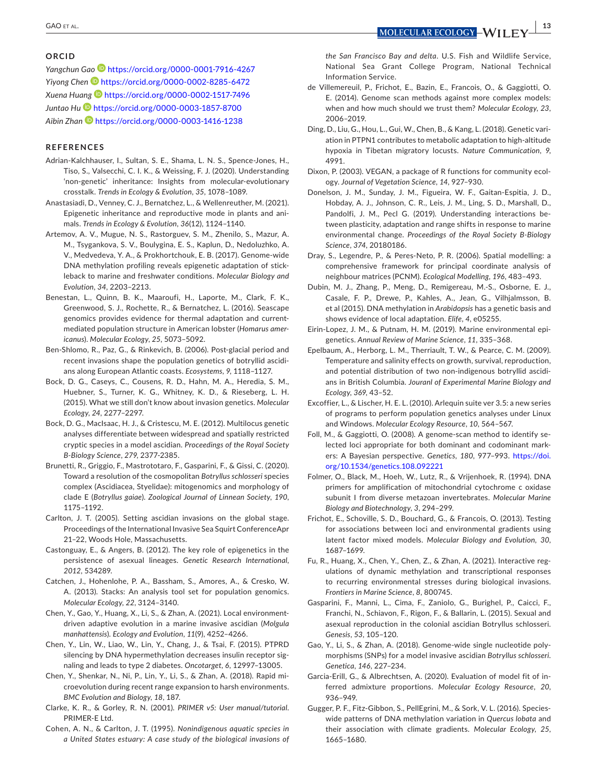#### **ORCID**

*Yangchun Gao* <https://orcid.org/0000-0001-7916-4267> *Yiyong Chen* <https://orcid.org/0000-0002-8285-6472> *Xuena Huang* <https://orcid.org/0000-0002-1517-7496> *Juntao Hu* <https://orcid.org/0000-0003-1857-8700> *Aibin Zhan* <https://orcid.org/0000-0003-1416-1238>

#### **REFERENCES**

- <span id="page-12-3"></span>Adrian-Kalchhauser, I., Sultan, S. E., Shama, L. N. S., Spence-Jones, H., Tiso, S., Valsecchi, C. I. K., & Weissing, F. J. (2020). Understanding 'non-genetic' inheritance: Insights from molecular-evolutionary crosstalk. *Trends in Ecology & Evolution*, *35*, 1078–1089.
- <span id="page-12-28"></span>Anastasiadi, D., Venney, C. J., Bernatchez, L., & Wellenreuther, M. (2021). Epigenetic inheritance and reproductive mode in plants and animals. *Trends in Ecology & Evolution*, *36*(12), 1124–1140.
- <span id="page-12-30"></span>Artemov, A. V., Mugue, N. S., Rastorguev, S. M., Zhenilo, S., Mazur, A. M., Tsygankova, S. V., Boulygina, E. S., Kaplun, D., Nedoluzhko, A. V., Medvedeva, Y. A., & Prokhortchouk, E. B. (2017). Genome-wide DNA methylation profiling reveals epigenetic adaptation of stickleback to marine and freshwater conditions. *Molecular Biology and Evolution*, *34*, 2203–2213.
- <span id="page-12-22"></span>Benestan, L., Quinn, B. K., Maaroufi, H., Laporte, M., Clark, F. K., Greenwood, S. J., Rochette, R., & Bernatchez, L. (2016). Seascape genomics provides evidence for thermal adaptation and currentmediated population structure in American lobster (*Homarus americanus*). *Molecular Ecology*, *25*, 5073–5092.
- <span id="page-12-9"></span>Ben-Shlomo, R., Paz, G., & Rinkevich, B. (2006). Post-glacial period and recent invasions shape the population genetics of botryllid ascidians along European Atlantic coasts. *Ecosystems*, *9*, 1118–1127.
- <span id="page-12-2"></span>Bock, D. G., Caseys, C., Cousens, R. D., Hahn, M. A., Heredia, S. M., Huebner, S., Turner, K. G., Whitney, K. D., & Rieseberg, L. H. (2015). What we still don't know about invasion genetics. *Molecular Ecology*, *24*, 2277–2297.
- <span id="page-12-6"></span>Bock, D. G., MacIsaac, H. J., & Cristescu, M. E. (2012). Multilocus genetic analyses differentiate between widespread and spatially restricted cryptic species in a model ascidian. *Proceedings of the Royal Society B-Biology Science*, *279*, 2377-2385.
- <span id="page-12-7"></span>Brunetti, R., Griggio, F., Mastrototaro, F., Gasparini, F., & Gissi, C. (2020). Toward a resolution of the cosmopolitan *Botryllus schlosseri* species complex (Ascidiacea, Styelidae): mitogenomics and morphology of clade E (*Botryllus gaiae*). *Zoological Journal of Linnean Society*, *190*, 1175–1192.
- <span id="page-12-8"></span>Carlton, J. T. (2005). Setting ascidian invasions on the global stage. Proceedings of the International Invasive Sea Squirt ConferenceApr 21–22, Woods Hole, Massachusetts.
- <span id="page-12-29"></span>Castonguay, E., & Angers, B. (2012). The key role of epigenetics in the persistence of asexual lineages. *Genetic Research International*, *2012*, 534289.
- <span id="page-12-15"></span>Catchen, J., Hohenlohe, P. A., Bassham, S., Amores, A., & Cresko, W. A. (2013). Stacks: An analysis tool set for population genomics. *Molecular Ecology*, *22*, 3124–3140.
- <span id="page-12-23"></span>Chen, Y., Gao, Y., Huang, X., Li, S., & Zhan, A. (2021). Local environmentdriven adaptive evolution in a marine invasive ascidian (*Molgula manhattensis*). *Ecology and Evolution*, *11*(9), 4252–4266.
- <span id="page-12-31"></span>Chen, Y., Lin, W., Liao, W., Lin, Y., Chang, J., & Tsai, F. (2015). PTPRD silencing by DNA hypermethylation decreases insulin receptor signaling and leads to type 2 diabetes. *Oncotarget*, *6*, 12997–13005.
- <span id="page-12-26"></span>Chen, Y., Shenkar, N., Ni, P., Lin, Y., Li, S., & Zhan, A. (2018). Rapid microevolution during recent range expansion to harsh environments. *BMC Evolution and Biology*, *18*, 187.
- <span id="page-12-17"></span>Clarke, K. R., & Gorley, R. N. (2001). *PRIMER v5: User manual/tutorial*. PRIMER-E Ltd.
- <span id="page-12-10"></span>Cohen, A. N., & Carlton, J. T. (1995). *Nonindigenous aquatic species in a United States estuary: A case study of the biological invasions of*

*the San Francisco Bay and delta*. U.S. Fish and Wildlife Service, National Sea Grant College Program, National Technical Information Service.

- <span id="page-12-21"></span>de Villemereuil, P., Frichot, E., Bazin, E., Francois, O., & Gaggiotti, O. E. (2014). Genome scan methods against more complex models: when and how much should we trust them? *Molecular Ecology*, *23*, 2006–2019.
- <span id="page-12-32"></span>Ding, D., Liu, G., Hou, L., Gui, W., Chen, B., & Kang, L. (2018). Genetic variation in PTPN1 contributes to metabolic adaptation to high-altitude hypoxia in Tibetan migratory locusts. *Nature Communication*, *9*, 4991.
- <span id="page-12-25"></span>Dixon, P. (2003). VEGAN, a package of R functions for community ecology. *Journal of Vegetation Science*, *14*, 927–930.
- <span id="page-12-0"></span>Donelson, J. M., Sunday, J. M., Figueira, W. F., Gaitan-Espitia, J. D., Hobday, A. J., Johnson, C. R., Leis, J. M., Ling, S. D., Marshall, D., Pandolfi, J. M., Pecl G. (2019). Understanding interactions between plasticity, adaptation and range shifts in response to marine environmental change. *Proceedings of the Royal Society B-Biology Science*, *374*, 20180186.
- <span id="page-12-24"></span>Dray, S., Legendre, P., & Peres-Neto, P. R. (2006). Spatial modelling: a comprehensive framework for principal coordinate analysis of neighbour matrices (PCNM). *Ecological Modelling*, *196*, 483–493.
- <span id="page-12-5"></span>Dubin, M. J., Zhang, P., Meng, D., Remigereau, M.-S., Osborne, E. J., Casale, F. P., Drewe, P., Kahles, A., Jean, G., Vilhjalmsson, B. et al (2015). DNA methylation in *Arabidopsis* has a genetic basis and shows evidence of local adaptation. *Elife*, *4*, e05255.
- <span id="page-12-1"></span>Eirin-Lopez, J. M., & Putnam, H. M. (2019). Marine environmental epigenetics. *Annual Review of Marine Science*, *11*, 335–368.
- <span id="page-12-11"></span>Epelbaum, A., Herborg, L. M., Therriault, T. W., & Pearce, C. M. (2009). Temperature and salinity effects on growth, survival, reproduction, and potential distribution of two non-indigenous botryllid ascidians in British Columbia. *Jouranl of Experimental Marine Biology and Ecology*, *369*, 43–52.
- <span id="page-12-16"></span>Excoffier, L., & Lischer, H. E. L. (2010). Arlequin suite ver 3.5: a new series of programs to perform population genetics analyses under Linux and Windows. *Molecular Ecology Resource*, *10*, 564–567.
- <span id="page-12-19"></span>Foll, M., & Gaggiotti, O. (2008). A genome-scan method to identify selected loci appropriate for both dominant and codominant markers: A Bayesian perspective. *Genetics*, *180*, 977–993. [https://doi.](https://doi.org/10.1534/genetics.108.092221) [org/10.1534/genetics.108.092221](https://doi.org/10.1534/genetics.108.092221)
- <span id="page-12-13"></span>Folmer, O., Black, M., Hoeh, W., Lutz, R., & Vrijenhoek, R. (1994). DNA primers for amplification of mitochondrial cytochrome c oxidase subunit I from diverse metazoan invertebrates. *Molecular Marine Biology and Biotechnology*, *3*, 294–299.
- <span id="page-12-20"></span>Frichot, E., Schoville, S. D., Bouchard, G., & Francois, O. (2013). Testing for associations between loci and environmental gradients using latent factor mixed models. *Molecular Biology and Evolution*, *30*, 1687–1699.
- <span id="page-12-4"></span>Fu, R., Huang, X., Chen, Y., Chen, Z., & Zhan, A. (2021). Interactive regulations of dynamic methylation and transcriptional responses to recurring environmental stresses during biological invasions. *Frontiers in Marine Science*, *8*, 800745.
- <span id="page-12-12"></span>Gasparini, F., Manni, L., Cima, F., Zaniolo, G., Burighel, P., Caicci, F., Franchi, N., Schiavon, F., Rigon, F., & Ballarin, L. (2015). Sexual and asexual reproduction in the colonial ascidian Botryllus schlosseri. *Genesis*, *53*, 105–120.
- <span id="page-12-14"></span>Gao, Y., Li, S., & Zhan, A. (2018). Genome-wide single nucleotide polymorphisms (SNPs) for a model invasive ascidian *Botryllus schlosseri*. *Genetica*, *146*, 227–234.
- <span id="page-12-18"></span>Garcia-Erill, G., & Albrechtsen, A. (2020). Evaluation of model fit of inferred admixture proportions. *Molecular Ecology Resource*, *20*, 936–949.
- <span id="page-12-27"></span>Gugger, P. F., Fitz-Gibbon, S., PellEgrini, M., & Sork, V. L. (2016). Specieswide patterns of DNA methylation variation in *Quercus lobata* and their association with climate gradients. *Molecular Ecology*, *25*, 1665–1680.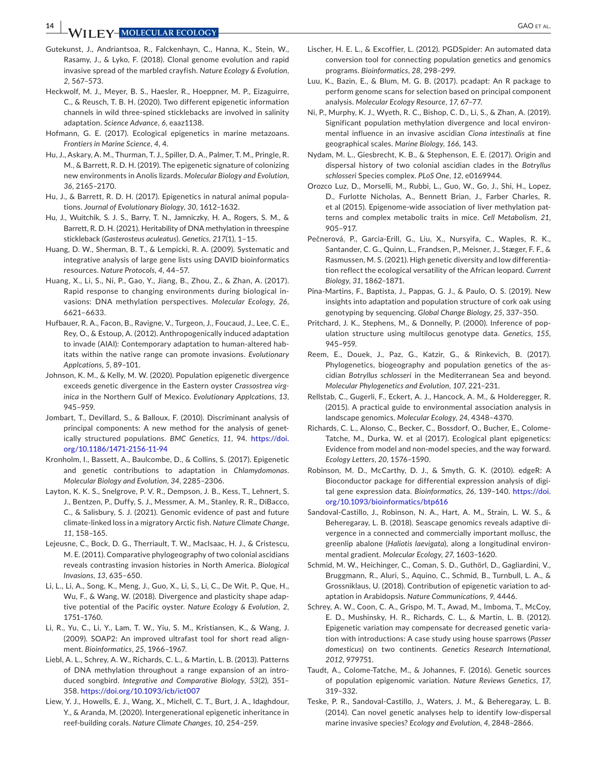**14 <sup>|</sup>**  GAO et al.

- <span id="page-13-31"></span>Gutekunst, J., Andriantsoa, R., Falckenhayn, C., Hanna, K., Stein, W., Rasamy, J., & Lyko, F. (2018). Clonal genome evolution and rapid invasive spread of the marbled crayfish. *Nature Ecology & Evolution*, *2*, 567–573.
- <span id="page-13-4"></span>Heckwolf, M. J., Meyer, B. S., Haesler, R., Hoeppner, M. P., Eizaguirre, C., & Reusch, T. B. H. (2020). Two different epigenetic information channels in wild three-spined sticklebacks are involved in salinity adaptation. *Science Advance*, *6*, eaaz1138.
- <span id="page-13-34"></span>Hofmann, G. E. (2017). Ecological epigenetics in marine metazoans. *Frontiers in Marine Science*, *4*, 4.
- <span id="page-13-2"></span>Hu, J., Askary, A. M., Thurman, T. J., Spiller, D. A., Palmer, T. M., Pringle, R. M., & Barrett, R. D. H. (2019). The epigenetic signature of colonizing new environments in Anolis lizards. *Molecular Biology and Evolution*, *36*, 2165–2170.
- <span id="page-13-3"></span>Hu, J., & Barrett, R. D. H. (2017). Epigenetics in natural animal populations. *Journal of Evolutionary Biology*, *30*, 1612–1632.
- <span id="page-13-28"></span>Hu, J., Wuitchik, S. J. S., Barry, T. N., Jamniczky, H. A., Rogers, S. M., & Barrett, R. D. H. (2021). Heritability of DNA methylation in threespine stickleback (*Gasterosteus aculeatus*). *Genetics*, *217*(1), 1–15.
- <span id="page-13-21"></span>Huang, D. W., Sherman, B. T., & Lempicki, R. A. (2009). Systematic and integrative analysis of large gene lists using DAVID bioinformatics resources. *Nature Protocols*, *4*, 44–57.
- <span id="page-13-26"></span>Huang, X., Li, S., Ni, P., Gao, Y., Jiang, B., Zhou, Z., & Zhan, A. (2017). Rapid response to changing environments during biological invasions: DNA methylation perspectives. *Molecular Ecology*, *26*, 6621–6633.
- <span id="page-13-25"></span>Hufbauer, R. A., Facon, B., Ravigne, V., Turgeon, J., Foucaud, J., Lee, C. E., Rey, O., & Estoup, A. (2012). Anthropogenically induced adaptation to invade (AIAI): Contemporary adaptation to human-altered habitats within the native range can promote invasions. *Evolutionary Applcations*, *5*, 89–101.
- <span id="page-13-27"></span>Johnson, K. M., & Kelly, M. W. (2020). Population epigenetic divergence exceeds genetic divergence in the Eastern oyster *Crassostrea virginica* in the Northern Gulf of Mexico. *Evolutionary Applcations*, *13*, 945–959.
- <span id="page-13-14"></span>Jombart, T., Devillard, S., & Balloux, F. (2010). Discriminant analysis of principal components: A new method for the analysis of genetically structured populations. *BMC Genetics*, *11*, 94. [https://doi.](https://doi.org/10.1186/1471-2156-11-94) [org/10.1186/1471-2156-11-94](https://doi.org/10.1186/1471-2156-11-94)
- <span id="page-13-7"></span>Kronholm, I., Bassett, A., Baulcombe, D., & Collins, S. (2017). Epigenetic and genetic contributions to adaptation in *Chlamydomonas*. *Molecular Biology and Evolution*, *34*, 2285–2306.
- <span id="page-13-22"></span>Layton, K. K. S., Snelgrove, P. V. R., Dempson, J. B., Kess, T., Lehnert, S. J., Bentzen, P., Duffy, S. J., Messmer, A. M., Stanley, R. R., DiBacco, C., & Salisbury, S. J. (2021). Genomic evidence of past and future climate-linked loss in a migratory Arctic fish. *Nature Climate Change*, *11*, 158–165.
- <span id="page-13-12"></span>Lejeusne, C., Bock, D. G., Therriault, T. W., MacIsaac, H. J., & Cristescu, M. E. (2011). Comparative phylogeography of two colonial ascidians reveals contrasting invasion histories in North America. *Biological Invasions*, *13*, 635–650.
- <span id="page-13-29"></span>Li, L., Li, A., Song, K., Meng, J., Guo, X., Li, S., Li, C., De Wit, P., Que, H., Wu, F., & Wang, W. (2018). Divergence and plasticity shape adaptive potential of the Pacific oyster. *Nature Ecology & Evolution*, *2*, 1751–1760.
- <span id="page-13-19"></span>Li, R., Yu, C., Li, Y., Lam, T. W., Yiu, S. M., Kristiansen, K., & Wang, J. (2009). SOAP2: An improved ultrafast tool for short read alignment. *Bioinformatics*, *25*, 1966–1967.
- <span id="page-13-32"></span>Liebl, A. L., Schrey, A. W., Richards, C. L., & Martin, L. B. (2013). Patterns of DNA methylation throughout a range expansion of an introduced songbird. *Integrative and Comparative Biology*, *53*(2), 351– 358. <https://doi.org/10.1093/icb/ict007>
- <span id="page-13-9"></span>Liew, Y. J., Howells, E. J., Wang, X., Michell, C. T., Burt, J. A., Idaghdour, Y., & Aranda, M. (2020). Intergenerational epigenetic inheritance in reef-building corals. *Nature Climate Changes*, *10*, 254–259.
- <span id="page-13-16"></span>Lischer, H. E. L., & Excoffier, L. (2012). PGDSpider: An automated data conversion tool for connecting population genetics and genomics programs. *Bioinformatics*, *28*, 298–299.
- <span id="page-13-17"></span>Luu, K., Bazin, E., & Blum, M. G. B. (2017). pcadapt: An R package to perform genome scans for selection based on principal component analysis. *Molecular Ecology Resource*, *17*, 67–77.
- <span id="page-13-1"></span>Ni, P., Murphy, K. J., Wyeth, R. C., Bishop, C. D., Li, S., & Zhan, A. (2019). Significant population methylation divergence and local environmental influence in an invasive ascidian *Ciona intestinalis* at fine geographical scales. *Marine Biology*, *166*, 143.
- <span id="page-13-11"></span>Nydam, M. L., Giesbrecht, K. B., & Stephenson, E. E. (2017). Origin and dispersal history of two colonial ascidian clades in the *Botryllus schlosseri* Species complex. *PLoS One*, *12*, e0169944.
- <span id="page-13-30"></span>Orozco Luz, D., Morselli, M., Rubbi, L., Guo, W., Go, J., Shi, H., Lopez, D., Furlotte Nicholas, A., Bennett Brian, J., Farber Charles, R. et al (2015). Epigenome-wide association of liver methylation patterns and complex metabolic traits in mice. *Cell Metabolism*, *21*, 905–917.
- <span id="page-13-18"></span>Pečnerová, P., Garcia-Erill, G., Liu, X., Nursyifa, C., Waples, R. K., Santander, C. G., Quinn, L., Frandsen, P., Meisner, J., Stæger, F. F., & Rasmussen, M. S. (2021). High genetic diversity and low differentiation reflect the ecological versatility of the African leopard. *Current Biology*, *31*, 1862–1871.
- <span id="page-13-0"></span>Pina-Martins, F., Baptista, J., Pappas, G. J., & Paulo, O. S. (2019). New insights into adaptation and population structure of cork oak using genotyping by sequencing. *Global Change Biology*, *25*, 337–350.
- <span id="page-13-15"></span>Pritchard, J. K., Stephens, M., & Donnelly, P. (2000). Inference of population structure using multilocus genotype data. *Genetics*, *155*, 945–959.
- <span id="page-13-13"></span>Reem, E., Douek, J., Paz, G., Katzir, G., & Rinkevich, B. (2017). Phylogenetics, biogeography and population genetics of the ascidian *Botryllus schlosseri* in the Mediterranean Sea and beyond. *Molecular Phylogenetics and Evolution*, *107*, 221–231.
- <span id="page-13-24"></span>Rellstab, C., Gugerli, F., Eckert, A. J., Hancock, A. M., & Holderegger, R. (2015). A practical guide to environmental association analysis in landscape genomics. *Molecular Ecology*, *24*, 4348–4370.
- <span id="page-13-5"></span>Richards, C. L., Alonso, C., Becker, C., Bossdorf, O., Bucher, E., Colome-Tatche, M., Durka, W. et al (2017). Ecological plant epigenetics: Evidence from model and non-model species, and the way forward. *Ecology Letters*, *20*, 1576–1590.
- <span id="page-13-20"></span>Robinson, M. D., McCarthy, D. J., & Smyth, G. K. (2010). edgeR: A Bioconductor package for differential expression analysis of digital gene expression data. *Bioinformatics*, *26*, 139–140. [https://doi.](https://doi.org/10.1093/bioinformatics/btp616) [org/10.1093/bioinformatics/btp616](https://doi.org/10.1093/bioinformatics/btp616)
- <span id="page-13-23"></span>Sandoval-Castillo, J., Robinson, N. A., Hart, A. M., Strain, L. W. S., & Beheregaray, L. B. (2018). Seascape genomics reveals adaptive divergence in a connected and commercially important mollusc, the greenlip abalone (*Haliotis laevigata*), along a longitudinal environmental gradient. *Molecular Ecology*, *27*, 1603–1620.
- <span id="page-13-6"></span>Schmid, M. W., Heichinger, C., Coman, S. D., Guthörl, D., Gagliardini, V., Bruggmann, R., Aluri, S., Aquino, C., Schmid, B., Turnbull, L. A., & Grossniklaus, U. (2018). Contribution of epigenetic variation to adaptation in Arabidopsis. *Nature Communications*, *9*, 4446.
- <span id="page-13-33"></span>Schrey, A. W., Coon, C. A., Grispo, M. T., Awad, M., Imboma, T., McCoy, E. D., Mushinsky, H. R., Richards, C. L., & Martin, L. B. (2012). Epigenetic variation may compensate for decreased genetic variation with introductions: A case study using house sparrows (*Passer domesticus*) on two continents. *Genetics Research International*, *2012*, 979751.
- <span id="page-13-8"></span>Taudt, A., Colome-Tatche, M., & Johannes, F. (2016). Genetic sources of population epigenomic variation. *Nature Reviews Genetics*, *17*, 319–332.
- <span id="page-13-10"></span>Teske, P. R., Sandoval-Castillo, J., Waters, J. M., & Beheregaray, L. B. (2014). Can novel genetic analyses help to identify low-dispersal marine invasive species? *Ecology and Evolution*, *4*, 2848–2866.